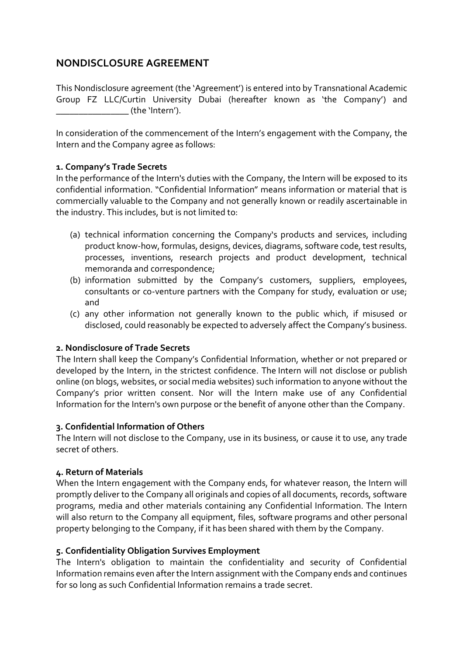# **NONDISCLOSURE AGREEMENT**

This Nondisclosure agreement (the 'Agreement') is entered into by Transnational Academic Group FZ LLC/Curtin University Dubai (hereafter known as 'the Company') and de 'Intern').

In consideration of the commencement of the Intern's engagement with the Company, the Intern and the Company agree as follows:

### **1. Company's Trade Secrets**

In the performance of the Intern's duties with the Company, the Intern will be exposed to its confidential information. "Confidential Information" means information or material that is commercially valuable to the Company and not generally known or readily ascertainable in the industry. This includes, but is not limited to:

- (a) technical information concerning the Company's products and services, including product know-how, formulas, designs, devices, diagrams, software code, test results, processes, inventions, research projects and product development, technical memoranda and correspondence;
- (b) information submitted by the Company's customers, suppliers, employees, consultants or co-venture partners with the Company for study, evaluation or use; and
- (c) any other information not generally known to the public which, if misused or disclosed, could reasonably be expected to adversely affect the Company's business.

### **2. Nondisclosure of Trade Secrets**

The Intern shall keep the Company's Confidential Information, whether or not prepared or developed by the Intern, in the strictest confidence. The Intern will not disclose or publish online (on blogs, websites, or social media websites) such information to anyone without the Company's prior written consent. Nor will the Intern make use of any Confidential Information for the Intern's own purpose or the benefit of anyone other than the Company.

### **3. Confidential Information of Others**

The Intern will not disclose to the Company, use in its business, or cause it to use, any trade secret of others.

### **4. Return of Materials**

When the Intern engagement with the Company ends, for whatever reason, the Intern will promptly deliver to the Company all originals and copies of all documents, records, software programs, media and other materials containing any Confidential Information. The Intern will also return to the Company all equipment, files, software programs and other personal property belonging to the Company, if it has been shared with them by the Company.

## **5. Confidentiality Obligation Survives Employment**

The Intern's obligation to maintain the confidentiality and security of Confidential Information remains even after the Intern assignment with the Company ends and continues for so long as such Confidential Information remains a trade secret.